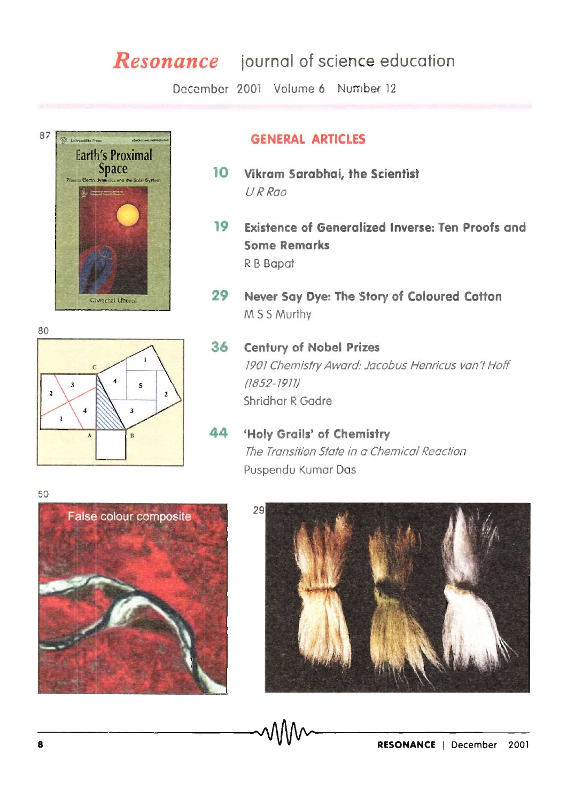# *Resonance* journal of science education

December 2001 Volume 6 Number 12



# GENERAL ARTICLES

- 10 Vikram Sarabhai, the Scientist URRao
- 19 Existence of Generalized Inverse: Ten Proofs and Some Remarks R B Bapat
- 29 Never Say Dye: The Story of Coloured Cotton M 55 Murthy
- $\overline{\phantom{a}}$  $\overline{\mathbf{z}}$  $\overline{A}$ 
	- 36 Century of Nobel Prizes 1901 Chemistry Award: Jacobus Henricus van't Hoff (1852-1911) Shridhar R Gadre
	- 44 'Holy Grails' of Chemistry The Transition State in a Chemical Reaction Puspendu Kumar Das





80